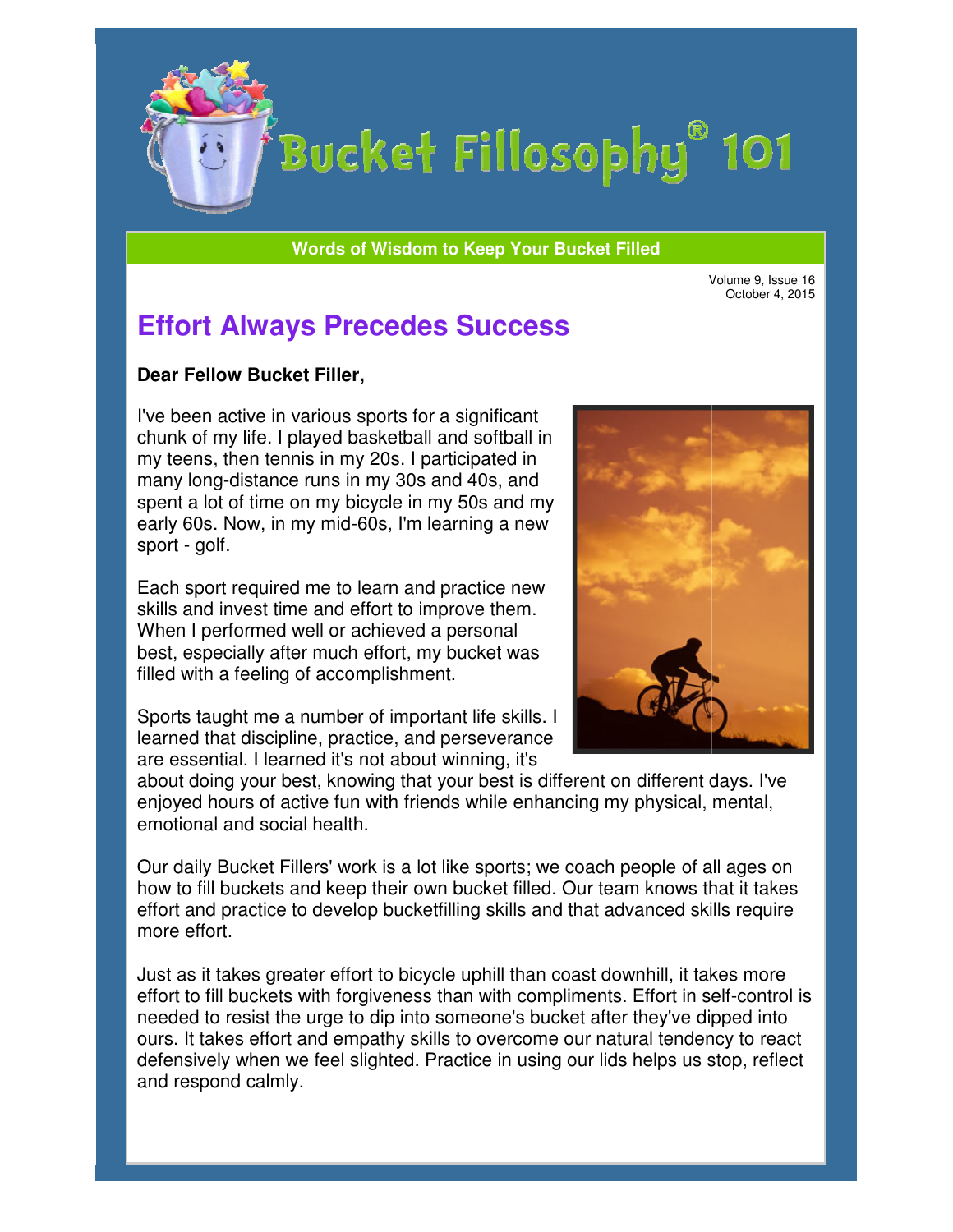

# Bucket Fillosophy<sup>®</sup> 101

**Words of Wisdom to Keep Your Bucket Filled Wisdom** 

Volume 9, Issue 16

## **Effort Always Precedes Success**

#### **Dear Fellow Bucket Filler Filler,**

I've been active in various sports for a significant chunk of my life. I played basketball and softball in my teens, then tennis in my 20s. I participated in many long-distance runs in my 30s and 40s, and spent a lot of time on my bicycle in my 50s and my early 60s. Now, in my mid-60s, I'm learning a new sport - golf. been active in various sports for a significant<br>nk of my life. I played basketball and softball in<br>teens, then tennis in my 20s. I participated in<br>ny long-distance runs in my 30s and 40s, and<br>nt a lot of time on my bicycle

Each sport required me to learn and practice new skills and invest time and effort to improve them. When I performed well or achieved a personal skills and invest time and effort to improve them.<br>When I performed well or achieved a personal<br>best, especially after much effort, my bucket was filled with a feeling of accomplishment.

Sports taught me a number of important life skills. I learned that discipline, practice, and perseverance are essential. I learned it's not about winning, it's learned that discipline, practice, and perseverance<br>are essential. I learned it's not about winning, it's<br>about doing your best, knowing that your best is different on different days. I've



enjoyed hours of active fun with friends while enhancing my physical, mental, emotional and social health. emotional health.

Our daily Bucket Fillers' work is a lot like sports; we coach people of all ages on Our daily Bucket Fillers' work is a lot like sports; we coach people of all ages on<br>how to fill buckets and keep their own bucket filled. Our team knows that it takes effort and practice to develop bucketfilling skills and that advanced skills require more effort. effort and practice to develop bucketfilling skills and that advanced skills require<br>more effort.<br>Just as it takes greater effort to bicycle uphill than coast downhill, it takes more hat your best is different on different days. I've<br>friends while enhancing my physical, mental,<br>a lot like sports; we coach people of all ages on<br>cown bucket filled. Our team knows that it takes<br>cketfilling skills and that

effort to fill buckets with forgiveness than with compliments. Effort in self needed to resist the urge to dip into someone's bucket after they've dipped into ours. It takes effort and empathy skills to overcome our natural tendency to react defensively when we feel slighted. Practice in using our lids helps us stop, reflect and respond calmly.